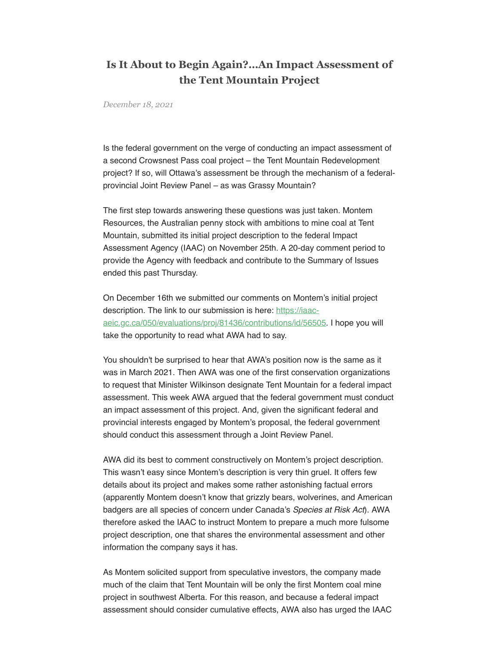## **Is It About to Begin Again?…An Impact Assessment of the Tent Mountain Project**

*December 18, 2021*

Is the federal government on the verge of conducting an impact assessment of a second Crowsnest Pass coal project – the Tent Mountain Redevelopment project? If so, will Ottawa's assessment be through the mechanism of a federalprovincial Joint Review Panel – as was Grassy Mountain?

The first step towards answering these questions was just taken. Montem Resources, the Australian penny stock with ambitions to mine coal at Tent Mountain, submitted its initial project description to the federal Impact Assessment Agency (IAAC) on November 25th. A 20-day comment period to provide the Agency with feedback and contribute to the Summary of Issues ended this past Thursday.

On December 16th we submitted our comments on Montem's initial project description. The link to our submission is here: https://iaac[aeic.gc.ca/050/evaluations/proj/81436/contributions/id/56505.](https://iaac-aeic.gc.ca/050/evaluations/proj/81436/contributions/id/56505) I hope you will take the opportunity to read what AWA had to say.

You shouldn't be surprised to hear that AWA's position now is the same as it was in March 2021. Then AWA was one of the first conservation organizations to request that Minister Wilkinson designate Tent Mountain for a federal impact assessment. This week AWA argued that the federal government must conduct an impact assessment of this project. And, given the significant federal and provincial interests engaged by Montem's proposal, the federal government should conduct this assessment through a Joint Review Panel.

AWA did its best to comment constructively on Montem's project description. This wasn't easy since Montem's description is very thin gruel. It offers few details about its project and makes some rather astonishing factual errors (apparently Montem doesn't know that grizzly bears, wolverines, and American badgers are all species of concern under Canada's Species at Risk Act). AWA therefore asked the IAAC to instruct Montem to prepare a much more fulsome project description, one that shares the environmental assessment and other information the company says it has.

As Montem solicited support from speculative investors, the company made much of the claim that Tent Mountain will be only the first Montem coal mine project in southwest Alberta. For this reason, and because a federal impact assessment should consider cumulative effects, AWA also has urged the IAAC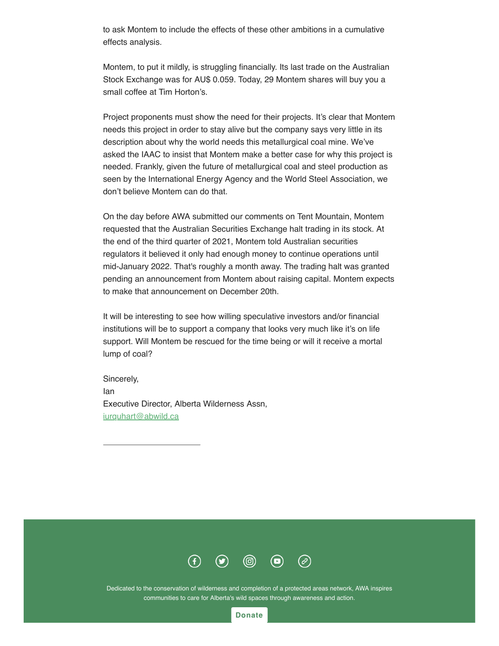to ask Montem to include the effects of these other ambitions in a cumulative effects analysis.

Montem, to put it mildly, is struggling financially. Its last trade on the Australian Stock Exchange was for AU\$ 0.059. Today, 29 Montem shares will buy you a small coffee at Tim Horton's.

Project proponents must show the need for their projects. It's clear that Montem needs this project in order to stay alive but the company says very little in its description about why the world needs this metallurgical coal mine. We've asked the IAAC to insist that Montem make a better case for why this project is needed. Frankly, given the future of metallurgical coal and steel production as seen by the International Energy Agency and the World Steel Association, we don't believe Montem can do that.

On the day before AWA submitted our comments on Tent Mountain, Montem requested that the Australian Securities Exchange halt trading in its stock. At the end of the third quarter of 2021, Montem told Australian securities regulators it believed it only had enough money to continue operations until mid-January 2022. That's roughly a month away. The trading halt was granted pending an announcement from Montem about raising capital. Montem expects to make that announcement on December 20th.

It will be interesting to see how willing speculative investors and/or financial institutions will be to support a company that looks very much like it's on life support. Will Montem be rescued for the time being or will it receive a mortal lump of coal?

Sincerely, Ian Executive Director, Alberta Wilderness Assn, [iurquhart@abwild.ca](mailto:iurquhart@abwild.ca)



Dedicated to the conservation of wilderness and completion of a protected areas network, AWA inspires communities to care for Alberta's wild spaces through awareness and action.